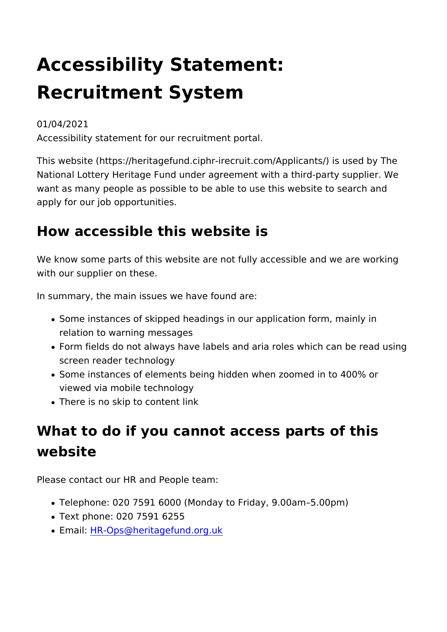# Accessibility Statement: Recruitment System

#### 01/04/2021 Accessibility statement for our recruitment portal.

This website (https://heritagefund.ciphr-irecruit.com/Applicants National Lottery Heritage Fund under agreement with a third-pa want as many people as possible to be able to use this website apply for our job opportunities.

### How accessible this website is

We know some parts of this website are not fully accessible and with our supplier on these.

In summary, the main issues we have found are:

- Some instances of skipped headings in our application form, relation to warning messages
- Form fields do not always have labels and aria roles which  $\alpha$ screen reader technology
- Some instances of elements being hidden when zoomed in to viewed via mobile technology
- There is no skip to content link

## What to do if you cannot access parts of t website

Please contact our HR and People team:

- . Telephone: 020 7591 6000 (Monday to Friday, 9.00am 5.00pm
- Text phone: 020 7591 6255
- EmaiHR-Ops@heritagefund.org.uk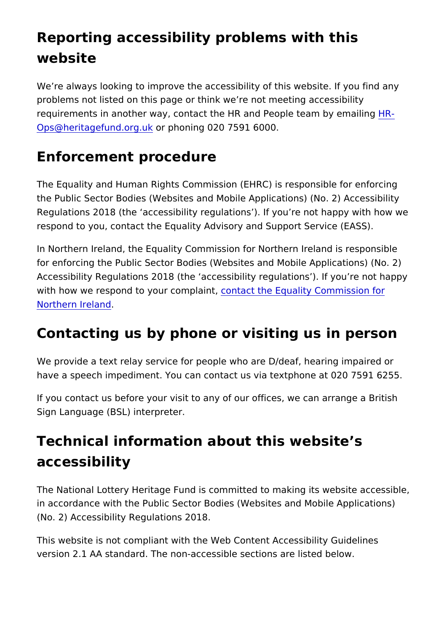### Reporting accessibility problems with this website

We re always looking to improve the accessibility of this websit problems not listed on this page or think we re not meeting acc requirements in another way, contact the HR and Pe[ople](mailto:HR-Ops@heritagefund.org.uk)-team b [Ops@heritagefund](mailto:HR-Ops@heritagefund.org.uk).orgphbning 020 7591 6000.

### Enforcement procedure

The Equality and Human Rights Commission (EHRC) is responsi the Public Sector Bodies (Websites and Mobile Applications) (N Regulations 2018 (the accessibility regulations ). If you re not respond to you, contact the Equality Advisory and Support Serv

In Northern Ireland, the Equality Commission for Northern Irela for enforcing the Public Sector Bodies (Websites and Mobile Ap Accessibility Regulations 2018 (the accessibility regulations). with how we respond to your coom pactining Equality Commission for [Northern Ire](https://www.equalityni.org/help)land

### Contacting us by phone or visiting us in person

We provide a text relay service for people who are D/deaf, hear have a speech impediment. You can contact us via textphone at

If you contact us before your visit to any of our offices, we can Sign Language (BSL) interpreter.

### Technical information about this website s accessibility

The National Lottery Heritage Fund is committed to making its w in accordance with the Public Sector Bodies (Websites and Mob (No. 2) Accessibility Regulations 2018.

This website is not compliant with the Web Content Accessibilit version 2.1 AA standard. The non-accessible sections are listed